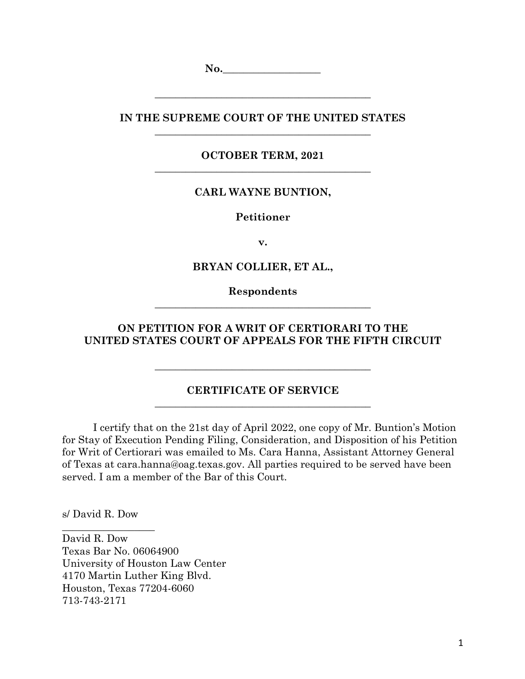No.

**IN THE SUPREME COURT OF THE UNITED STATES \_\_\_\_\_\_\_\_\_\_\_\_\_\_\_\_\_\_\_\_\_\_\_\_\_\_\_\_\_\_\_\_\_\_\_\_\_\_\_\_\_\_**

**\_\_\_\_\_\_\_\_\_\_\_\_\_\_\_\_\_\_\_\_\_\_\_\_\_\_\_\_\_\_\_\_\_\_\_\_\_\_\_\_\_\_**

**OCTOBER TERM, 2021 \_\_\_\_\_\_\_\_\_\_\_\_\_\_\_\_\_\_\_\_\_\_\_\_\_\_\_\_\_\_\_\_\_\_\_\_\_\_\_\_\_\_**

# **CARL WAYNE BUNTION,**

**Petitioner**

**v.**

**BRYAN COLLIER, ET AL.,**

**Respondents \_\_\_\_\_\_\_\_\_\_\_\_\_\_\_\_\_\_\_\_\_\_\_\_\_\_\_\_\_\_\_\_\_\_\_\_\_\_\_\_\_\_**

# **ON PETITION FOR A WRIT OF CERTIORARI TO THE UNITED STATES COURT OF APPEALS FOR THE FIFTH CIRCUIT**

#### **CERTIFICATE OF SERVICE \_\_\_\_\_\_\_\_\_\_\_\_\_\_\_\_\_\_\_\_\_\_\_\_\_\_\_\_\_\_\_\_\_\_\_\_\_\_\_\_\_\_**

**\_\_\_\_\_\_\_\_\_\_\_\_\_\_\_\_\_\_\_\_\_\_\_\_\_\_\_\_\_\_\_\_\_\_\_\_\_\_\_\_\_\_**

I certify that on the 21st day of April 2022, one copy of Mr. Buntion's Motion for Stay of Execution Pending Filing, Consideration, and Disposition of his Petition for Writ of Certiorari was emailed to Ms. Cara Hanna, Assistant Attorney General of Texas at cara.hanna@oag.texas.gov. All parties required to be served have been served. I am a member of the Bar of this Court.

s/ David R. Dow

\_\_\_\_\_\_\_\_\_\_\_\_\_\_\_\_\_\_

David R. Dow Texas Bar No. 06064900 University of Houston Law Center 4170 Martin Luther King Blvd. Houston, Texas 77204-6060 713-743-2171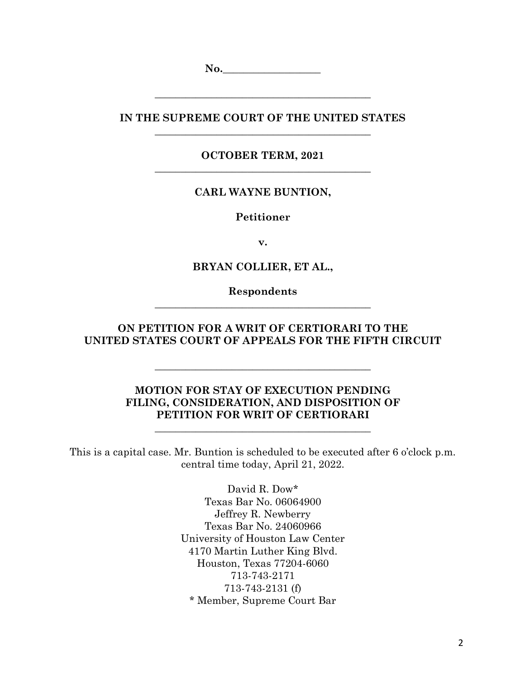No.

**IN THE SUPREME COURT OF THE UNITED STATES \_\_\_\_\_\_\_\_\_\_\_\_\_\_\_\_\_\_\_\_\_\_\_\_\_\_\_\_\_\_\_\_\_\_\_\_\_\_\_\_\_\_**

**\_\_\_\_\_\_\_\_\_\_\_\_\_\_\_\_\_\_\_\_\_\_\_\_\_\_\_\_\_\_\_\_\_\_\_\_\_\_\_\_\_\_**

**OCTOBER TERM, 2021 \_\_\_\_\_\_\_\_\_\_\_\_\_\_\_\_\_\_\_\_\_\_\_\_\_\_\_\_\_\_\_\_\_\_\_\_\_\_\_\_\_\_**

# **CARL WAYNE BUNTION,**

**Petitioner**

**v.**

**BRYAN COLLIER, ET AL.,**

**Respondents \_\_\_\_\_\_\_\_\_\_\_\_\_\_\_\_\_\_\_\_\_\_\_\_\_\_\_\_\_\_\_\_\_\_\_\_\_\_\_\_\_\_**

**ON PETITION FOR A WRIT OF CERTIORARI TO THE UNITED STATES COURT OF APPEALS FOR THE FIFTH CIRCUIT**

**\_\_\_\_\_\_\_\_\_\_\_\_\_\_\_\_\_\_\_\_\_\_\_\_\_\_\_\_\_\_\_\_\_\_\_\_\_\_\_\_\_\_**

## **MOTION FOR STAY OF EXECUTION PENDING FILING, CONSIDERATION, AND DISPOSITION OF PETITION FOR WRIT OF CERTIORARI**

**\_\_\_\_\_\_\_\_\_\_\_\_\_\_\_\_\_\_\_\_\_\_\_\_\_\_\_\_\_\_\_\_\_\_\_\_\_\_\_\_\_\_**

This is a capital case. Mr. Buntion is scheduled to be executed after 6 o'clock p.m. central time today, April 21, 2022.

> David R. Dow\* Texas Bar No. 06064900 Jeffrey R. Newberry Texas Bar No. 24060966 University of Houston Law Center 4170 Martin Luther King Blvd. Houston, Texas 77204-6060 713-743-2171 713-743-2131 (f) \* Member, Supreme Court Bar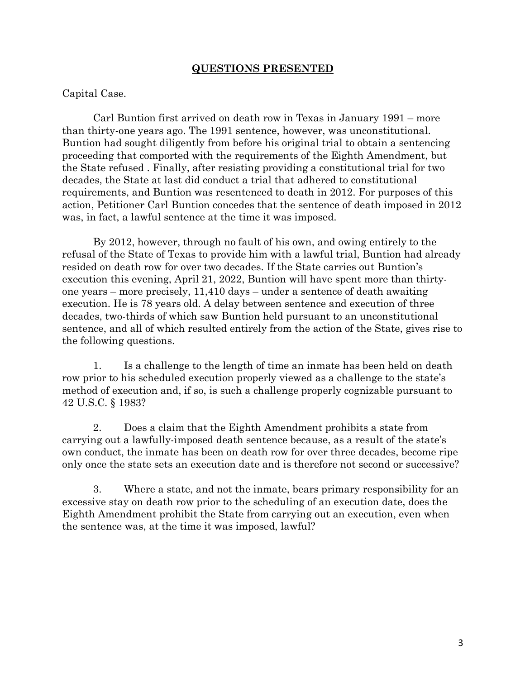### **QUESTIONS PRESENTED**

#### Capital Case.

Carl Buntion first arrived on death row in Texas in January 1991 – more than thirty-one years ago. The 1991 sentence, however, was unconstitutional. Buntion had sought diligently from before his original trial to obtain a sentencing proceeding that comported with the requirements of the Eighth Amendment, but the State refused . Finally, after resisting providing a constitutional trial for two decades, the State at last did conduct a trial that adhered to constitutional requirements, and Buntion was resentenced to death in 2012. For purposes of this action, Petitioner Carl Buntion concedes that the sentence of death imposed in 2012 was, in fact, a lawful sentence at the time it was imposed.

By 2012, however, through no fault of his own, and owing entirely to the refusal of the State of Texas to provide him with a lawful trial, Buntion had already resided on death row for over two decades. If the State carries out Buntion's execution this evening, April 21, 2022, Buntion will have spent more than thirtyone years – more precisely, 11,410 days – under a sentence of death awaiting execution. He is 78 years old. A delay between sentence and execution of three decades, two-thirds of which saw Buntion held pursuant to an unconstitutional sentence, and all of which resulted entirely from the action of the State, gives rise to the following questions.

1. Is a challenge to the length of time an inmate has been held on death row prior to his scheduled execution properly viewed as a challenge to the state's method of execution and, if so, is such a challenge properly cognizable pursuant to 42 U.S.C. § 1983?

2. Does a claim that the Eighth Amendment prohibits a state from carrying out a lawfully-imposed death sentence because, as a result of the state's own conduct, the inmate has been on death row for over three decades, become ripe only once the state sets an execution date and is therefore not second or successive?

3. Where a state, and not the inmate, bears primary responsibility for an excessive stay on death row prior to the scheduling of an execution date, does the Eighth Amendment prohibit the State from carrying out an execution, even when the sentence was, at the time it was imposed, lawful?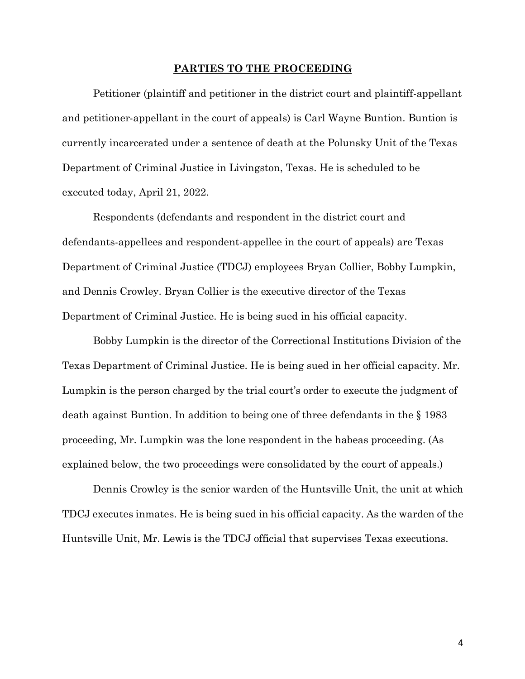#### **PARTIES TO THE PROCEEDING**

Petitioner (plaintiff and petitioner in the district court and plaintiff-appellant and petitioner-appellant in the court of appeals) is Carl Wayne Buntion. Buntion is currently incarcerated under a sentence of death at the Polunsky Unit of the Texas Department of Criminal Justice in Livingston, Texas. He is scheduled to be executed today, April 21, 2022.

Respondents (defendants and respondent in the district court and defendants-appellees and respondent-appellee in the court of appeals) are Texas Department of Criminal Justice (TDCJ) employees Bryan Collier, Bobby Lumpkin, and Dennis Crowley. Bryan Collier is the executive director of the Texas Department of Criminal Justice. He is being sued in his official capacity.

Bobby Lumpkin is the director of the Correctional Institutions Division of the Texas Department of Criminal Justice. He is being sued in her official capacity. Mr. Lumpkin is the person charged by the trial court's order to execute the judgment of death against Buntion. In addition to being one of three defendants in the § 1983 proceeding, Mr. Lumpkin was the lone respondent in the habeas proceeding. (As explained below, the two proceedings were consolidated by the court of appeals.)

Dennis Crowley is the senior warden of the Huntsville Unit, the unit at which TDCJ executes inmates. He is being sued in his official capacity. As the warden of the Huntsville Unit, Mr. Lewis is the TDCJ official that supervises Texas executions.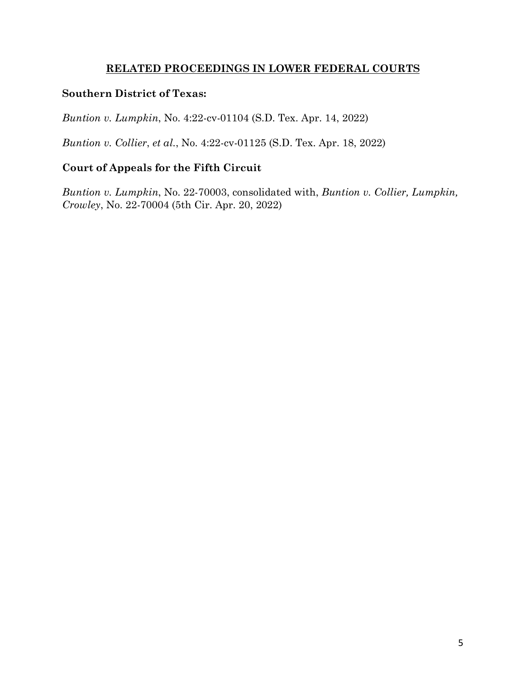# **RELATED PROCEEDINGS IN LOWER FEDERAL COURTS**

# **Southern District of Texas:**

*Buntion v. Lumpkin*, No. 4:22-cv-01104 (S.D. Tex. Apr. 14, 2022)

*Buntion v. Collier*, *et al.*, No. 4:22-cv-01125 (S.D. Tex. Apr. 18, 2022)

# **Court of Appeals for the Fifth Circuit**

*Buntion v. Lumpkin*, No. 22-70003, consolidated with, *Buntion v. Collier, Lumpkin, Crowley*, No. 22-70004 (5th Cir. Apr. 20, 2022)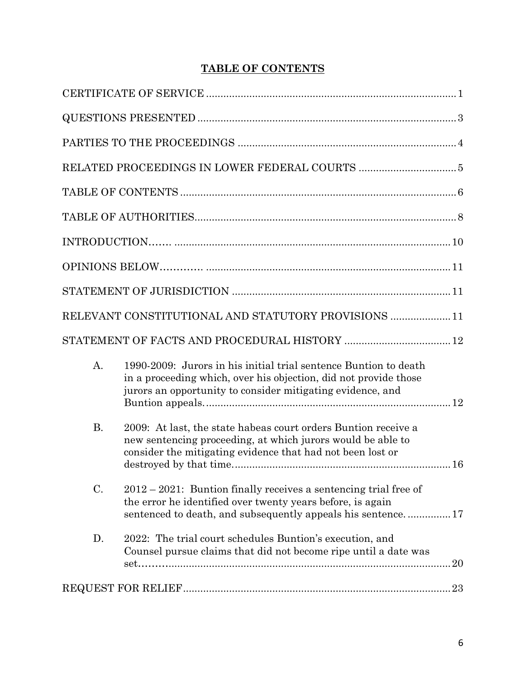# **TABLE OF CONTENTS**

|           | RELEVANT CONSTITUTIONAL AND STATUTORY PROVISIONS  11                                                                                                                                               |
|-----------|----------------------------------------------------------------------------------------------------------------------------------------------------------------------------------------------------|
|           |                                                                                                                                                                                                    |
| A.        | 1990-2009: Jurors in his initial trial sentence Buntion to death<br>in a proceeding which, over his objection, did not provide those<br>jurors an opportunity to consider mitigating evidence, and |
| <b>B.</b> | 2009: At last, the state habeas court orders Buntion receive a<br>new sentencing proceeding, at which jurors would be able to<br>consider the mitigating evidence that had not been lost or        |
| C.        | $2012 - 2021$ : Buntion finally receives a sentencing trial free of<br>the error he identified over twenty years before, is again<br>sentenced to death, and subsequently appeals his sentence17   |
| D.        | 2022: The trial court schedules Buntion's execution, and<br>Counsel pursue claims that did not become ripe until a date was                                                                        |
|           |                                                                                                                                                                                                    |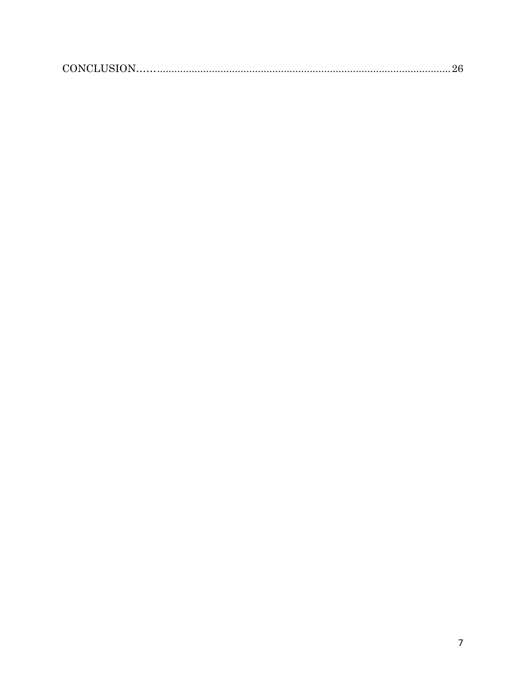|--|--|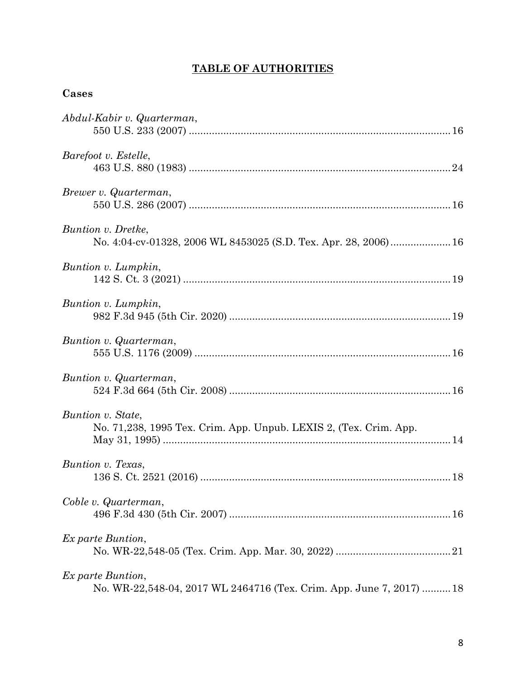# **TABLE OF AUTHORITIES**

# **Cases**

| Abdul-Kabir v. Quarterman,                                                                |
|-------------------------------------------------------------------------------------------|
| Barefoot v. Estelle,                                                                      |
| Brewer v. Quarterman,                                                                     |
| Buntion v. Dretke,<br>No. 4:04-cv-01328, 2006 WL 8453025 (S.D. Tex. Apr. 28, 2006)  16    |
| Buntion v. Lumpkin,                                                                       |
| Buntion v. Lumpkin,                                                                       |
| Buntion v. Quarterman,                                                                    |
| Buntion v. Quarterman,                                                                    |
| Buntion v. State,<br>No. 71,238, 1995 Tex. Crim. App. Unpub. LEXIS 2, (Tex. Crim. App.    |
| Buntion v. Texas,                                                                         |
| Coble v. Quarterman,                                                                      |
| Ex parte Buntion,                                                                         |
| Ex parte Buntion,<br>No. WR-22,548-04, 2017 WL 2464716 (Tex. Crim. App. June 7, 2017)  18 |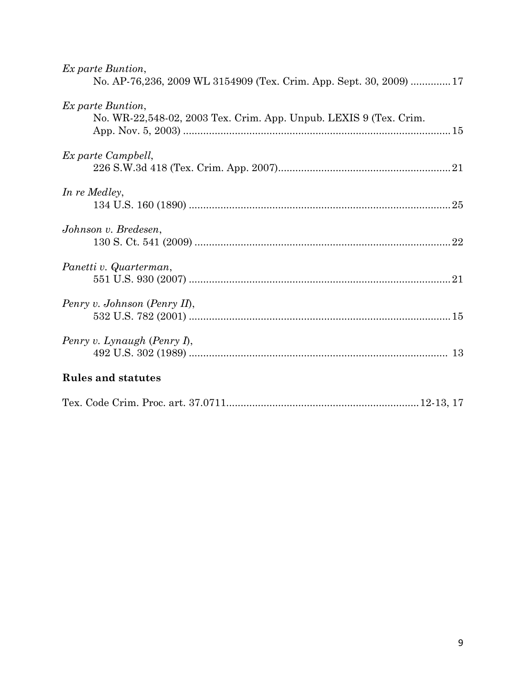| Ex parte Buntion,<br>No. AP-76,236, 2009 WL 3154909 (Tex. Crim. App. Sept. 30, 2009) 17 |
|-----------------------------------------------------------------------------------------|
| Ex parte Buntion,<br>No. WR-22,548-02, 2003 Tex. Crim. App. Unpub. LEXIS 9 (Tex. Crim.  |
| Ex parte Campbell,                                                                      |
| In re Medley,                                                                           |
| Johnson v. Bredesen,                                                                    |
| Panetti v. Quarterman,                                                                  |
| Penry v. Johnson (Penry II),                                                            |
| Penry v. Lynaugh (Penry I),                                                             |
| <b>Rules and statutes</b>                                                               |
|                                                                                         |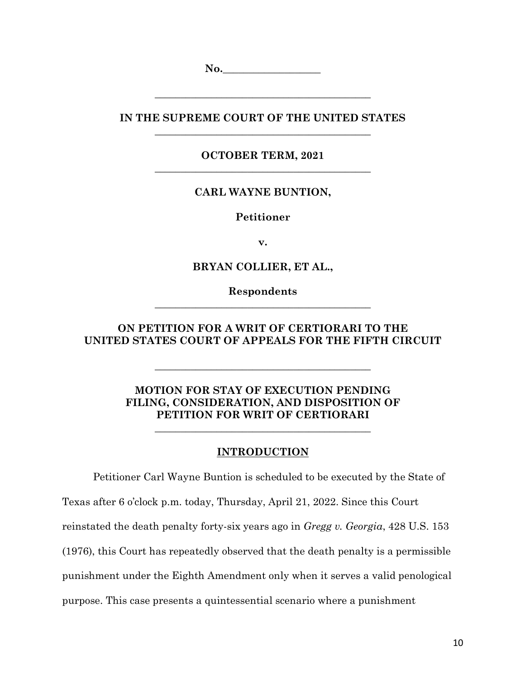**No. No. No. No. No. No. No. No. No. No. No. No. No. No. No. No. No. No. No. No. No. No. No. No. No. No. No. No. No. No. No. No. No. No. No. No. No.**

**IN THE SUPREME COURT OF THE UNITED STATES \_\_\_\_\_\_\_\_\_\_\_\_\_\_\_\_\_\_\_\_\_\_\_\_\_\_\_\_\_\_\_\_\_\_\_\_\_\_\_\_\_\_**

**\_\_\_\_\_\_\_\_\_\_\_\_\_\_\_\_\_\_\_\_\_\_\_\_\_\_\_\_\_\_\_\_\_\_\_\_\_\_\_\_\_\_**

**OCTOBER TERM, 2021 \_\_\_\_\_\_\_\_\_\_\_\_\_\_\_\_\_\_\_\_\_\_\_\_\_\_\_\_\_\_\_\_\_\_\_\_\_\_\_\_\_\_**

### **CARL WAYNE BUNTION,**

**Petitioner**

**v.**

**BRYAN COLLIER, ET AL.,**

**Respondents \_\_\_\_\_\_\_\_\_\_\_\_\_\_\_\_\_\_\_\_\_\_\_\_\_\_\_\_\_\_\_\_\_\_\_\_\_\_\_\_\_\_**

## **ON PETITION FOR A WRIT OF CERTIORARI TO THE UNITED STATES COURT OF APPEALS FOR THE FIFTH CIRCUIT**

**\_\_\_\_\_\_\_\_\_\_\_\_\_\_\_\_\_\_\_\_\_\_\_\_\_\_\_\_\_\_\_\_\_\_\_\_\_\_\_\_\_\_**

# **MOTION FOR STAY OF EXECUTION PENDING FILING, CONSIDERATION, AND DISPOSITION OF PETITION FOR WRIT OF CERTIORARI**

**\_\_\_\_\_\_\_\_\_\_\_\_\_\_\_\_\_\_\_\_\_\_\_\_\_\_\_\_\_\_\_\_\_\_\_\_\_\_\_\_\_\_**

### **INTRODUCTION**

Petitioner Carl Wayne Buntion is scheduled to be executed by the State of Texas after 6 o'clock p.m. today, Thursday, April 21, 2022. Since this Court reinstated the death penalty forty-six years ago in *Gregg v. Georgia*, 428 U.S. 153 (1976), this Court has repeatedly observed that the death penalty is a permissible punishment under the Eighth Amendment only when it serves a valid penological purpose. This case presents a quintessential scenario where a punishment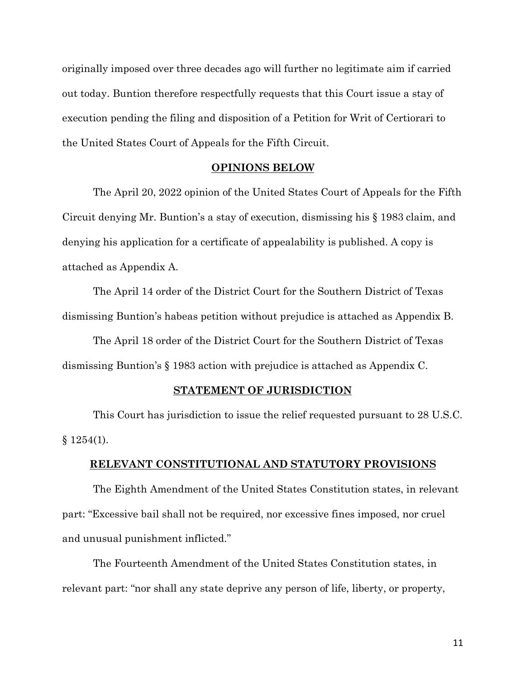originally imposed over three decades ago will further no legitimate aim if carried out today. Buntion therefore respectfully requests that this Court issue a stay of execution pending the filing and disposition of a Petition for Writ of Certiorari to the United States Court of Appeals for the Fifth Circuit.

#### **OPINIONS BELOW**

The April 20, 2022 opinion of the United States Court of Appeals for the Fifth Circuit denying Mr. Buntion's a stay of execution, dismissing his § 1983 claim, and denying his application for a certificate of appealability is published. A copy is attached as Appendix A.

The April 14 order of the District Court for the Southern District of Texas dismissing Buntion's habeas petition without prejudice is attached as Appendix B.

The April 18 order of the District Court for the Southern District of Texas dismissing Buntion's § 1983 action with prejudice is attached as Appendix C.

#### **STATEMENT OF JURISDICTION**

This Court has jurisdiction to issue the relief requested pursuant to 28 U.S.C.  $§ 1254(1).$ 

#### **RELEVANT CONSTITUTIONAL AND STATUTORY PROVISIONS**

The Eighth Amendment of the United States Constitution states, in relevant part: "Excessive bail shall not be required, nor excessive fines imposed, nor cruel and unusual punishment inflicted."

The Fourteenth Amendment of the United States Constitution states, in relevant part: "nor shall any state deprive any person of life, liberty, or property,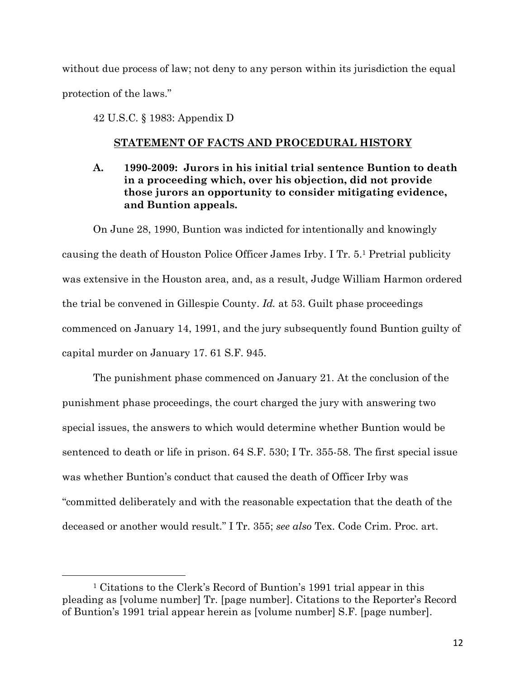without due process of law; not deny to any person within its jurisdiction the equal protection of the laws."

42 U.S.C. § 1983: Appendix D

 $\overline{a}$ 

### **STATEMENT OF FACTS AND PROCEDURAL HISTORY**

**A. 1990-2009: Jurors in his initial trial sentence Buntion to death in a proceeding which, over his objection, did not provide those jurors an opportunity to consider mitigating evidence, and Buntion appeals.** 

On June 28, 1990, Buntion was indicted for intentionally and knowingly causing the death of Houston Police Officer James Irby. I Tr. 5.1 Pretrial publicity was extensive in the Houston area, and, as a result, Judge William Harmon ordered the trial be convened in Gillespie County. *Id.* at 53. Guilt phase proceedings commenced on January 14, 1991, and the jury subsequently found Buntion guilty of capital murder on January 17. 61 S.F. 945.

The punishment phase commenced on January 21. At the conclusion of the punishment phase proceedings, the court charged the jury with answering two special issues, the answers to which would determine whether Buntion would be sentenced to death or life in prison. 64 S.F. 530; I Tr. 355-58. The first special issue was whether Buntion's conduct that caused the death of Officer Irby was "committed deliberately and with the reasonable expectation that the death of the deceased or another would result." I Tr. 355; *see also* Tex. Code Crim. Proc. art.

<sup>1</sup> Citations to the Clerk's Record of Buntion's 1991 trial appear in this pleading as [volume number] Tr. [page number]. Citations to the Reporter's Record of Buntion's 1991 trial appear herein as [volume number] S.F. [page number].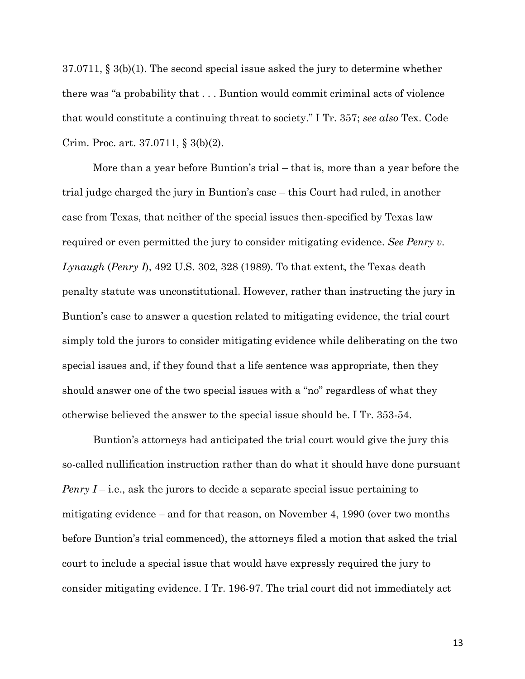37.0711, § 3(b)(1). The second special issue asked the jury to determine whether there was "a probability that . . . Buntion would commit criminal acts of violence that would constitute a continuing threat to society." I Tr. 357; *see also* Tex. Code Crim. Proc. art. 37.0711, § 3(b)(2).

More than a year before Buntion's trial – that is, more than a year before the trial judge charged the jury in Buntion's case – this Court had ruled, in another case from Texas, that neither of the special issues then-specified by Texas law required or even permitted the jury to consider mitigating evidence. *See Penry v. Lynaugh* (*Penry I*), 492 U.S. 302, 328 (1989). To that extent, the Texas death penalty statute was unconstitutional. However, rather than instructing the jury in Buntion's case to answer a question related to mitigating evidence, the trial court simply told the jurors to consider mitigating evidence while deliberating on the two special issues and, if they found that a life sentence was appropriate, then they should answer one of the two special issues with a "no" regardless of what they otherwise believed the answer to the special issue should be. I Tr. 353-54.

Buntion's attorneys had anticipated the trial court would give the jury this so-called nullification instruction rather than do what it should have done pursuant *Penry I* – i.e., ask the jurors to decide a separate special issue pertaining to mitigating evidence – and for that reason, on November 4, 1990 (over two months before Buntion's trial commenced), the attorneys filed a motion that asked the trial court to include a special issue that would have expressly required the jury to consider mitigating evidence. I Tr. 196-97. The trial court did not immediately act

13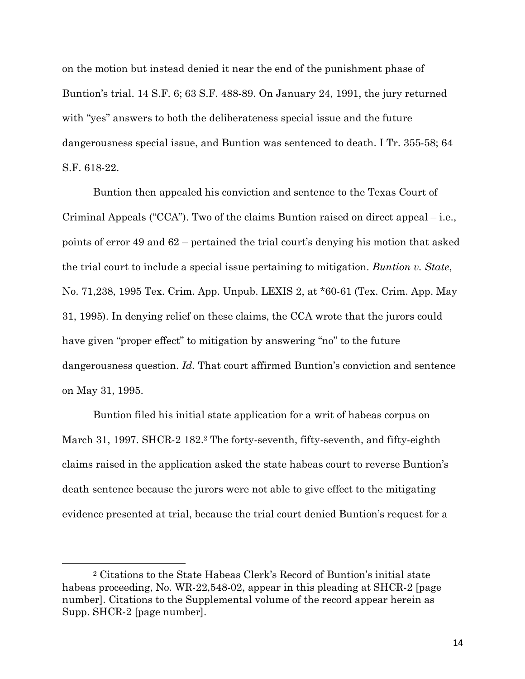on the motion but instead denied it near the end of the punishment phase of Buntion's trial. 14 S.F. 6; 63 S.F. 488-89. On January 24, 1991, the jury returned with "yes" answers to both the deliberateness special issue and the future dangerousness special issue, and Buntion was sentenced to death. I Tr. 355-58; 64 S.F. 618-22.

Buntion then appealed his conviction and sentence to the Texas Court of Criminal Appeals ("CCA"). Two of the claims Buntion raised on direct appeal – i.e., points of error 49 and 62 – pertained the trial court's denying his motion that asked the trial court to include a special issue pertaining to mitigation. *Buntion v. State*, No. 71,238, 1995 Tex. Crim. App. Unpub. LEXIS 2, at \*60-61 (Tex. Crim. App. May 31, 1995). In denying relief on these claims, the CCA wrote that the jurors could have given "proper effect" to mitigation by answering "no" to the future dangerousness question. *Id.* That court affirmed Buntion's conviction and sentence on May 31, 1995.

Buntion filed his initial state application for a writ of habeas corpus on March 31, 1997. SHCR-2 182.2 The forty-seventh, fifty-seventh, and fifty-eighth claims raised in the application asked the state habeas court to reverse Buntion's death sentence because the jurors were not able to give effect to the mitigating evidence presented at trial, because the trial court denied Buntion's request for a

 $\overline{a}$ 

<sup>2</sup> Citations to the State Habeas Clerk's Record of Buntion's initial state habeas proceeding, No. WR-22,548-02, appear in this pleading at SHCR-2 [page number]. Citations to the Supplemental volume of the record appear herein as Supp. SHCR-2 [page number].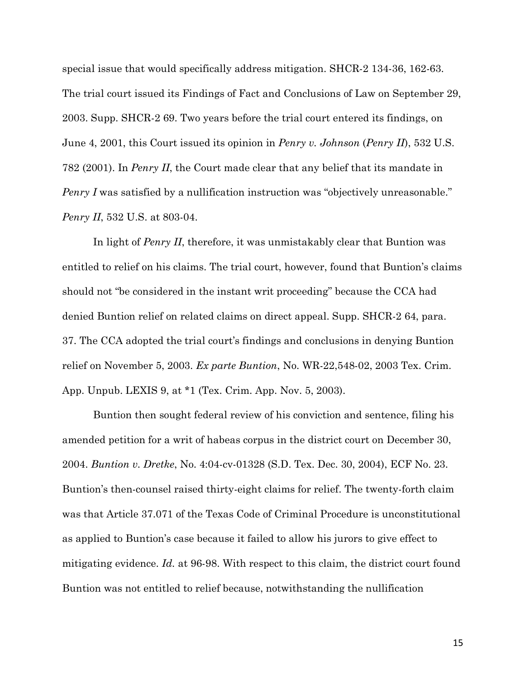special issue that would specifically address mitigation. SHCR-2 134-36, 162-63. The trial court issued its Findings of Fact and Conclusions of Law on September 29, 2003. Supp. SHCR-2 69. Two years before the trial court entered its findings, on June 4, 2001, this Court issued its opinion in *Penry v. Johnson* (*Penry II*), 532 U.S. 782 (2001). In *Penry II*, the Court made clear that any belief that its mandate in *Penry I* was satisfied by a nullification instruction was "objectively unreasonable." *Penry II*, 532 U.S. at 803-04.

In light of *Penry II*, therefore, it was unmistakably clear that Buntion was entitled to relief on his claims. The trial court, however, found that Buntion's claims should not "be considered in the instant writ proceeding" because the CCA had denied Buntion relief on related claims on direct appeal. Supp. SHCR-2 64, para. 37. The CCA adopted the trial court's findings and conclusions in denying Buntion relief on November 5, 2003. *Ex parte Buntion*, No. WR-22,548-02, 2003 Tex. Crim. App. Unpub. LEXIS 9, at \*1 (Tex. Crim. App. Nov. 5, 2003).

Buntion then sought federal review of his conviction and sentence, filing his amended petition for a writ of habeas corpus in the district court on December 30, 2004. *Buntion v. Dretke*, No. 4:04-cv-01328 (S.D. Tex. Dec. 30, 2004), ECF No. 23. Buntion's then-counsel raised thirty-eight claims for relief. The twenty-forth claim was that Article 37.071 of the Texas Code of Criminal Procedure is unconstitutional as applied to Buntion's case because it failed to allow his jurors to give effect to mitigating evidence. *Id.* at 96-98. With respect to this claim, the district court found Buntion was not entitled to relief because, notwithstanding the nullification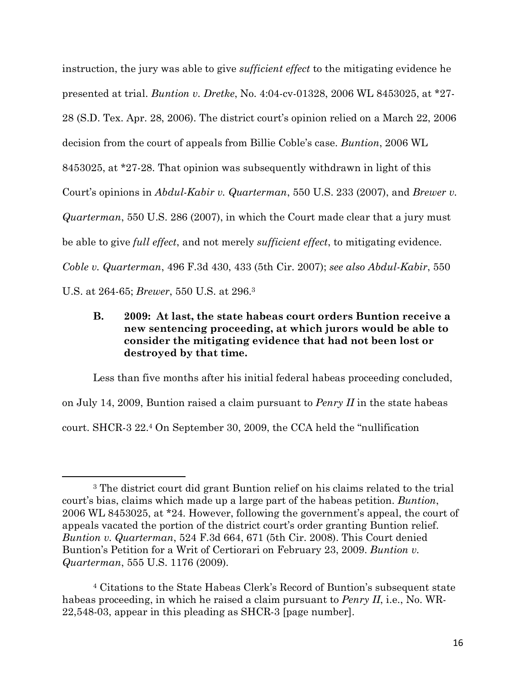instruction, the jury was able to give *sufficient effect* to the mitigating evidence he presented at trial. *Buntion v. Dretke*, No. 4:04-cv-01328, 2006 WL 8453025, at \*27- 28 (S.D. Tex. Apr. 28, 2006). The district court's opinion relied on a March 22, 2006 decision from the court of appeals from Billie Coble's case. *Buntion*, 2006 WL 8453025, at \*27-28. That opinion was subsequently withdrawn in light of this Court's opinions in *Abdul-Kabir v. Quarterman*, 550 U.S. 233 (2007), and *Brewer v. Quarterman*, 550 U.S. 286 (2007), in which the Court made clear that a jury must be able to give *full effect*, and not merely *sufficient effect*, to mitigating evidence. *Coble v. Quarterman*, 496 F.3d 430, 433 (5th Cir. 2007); *see also Abdul-Kabir*, 550 U.S. at 264-65; *Brewer*, 550 U.S. at 296.3

# **B. 2009: At last, the state habeas court orders Buntion receive a new sentencing proceeding, at which jurors would be able to consider the mitigating evidence that had not been lost or destroyed by that time.**

Less than five months after his initial federal habeas proceeding concluded, on July 14, 2009, Buntion raised a claim pursuant to *Penry II* in the state habeas court. SHCR-3 22.4 On September 30, 2009, the CCA held the "nullification

 $\overline{a}$ 

<sup>3</sup> The district court did grant Buntion relief on his claims related to the trial court's bias, claims which made up a large part of the habeas petition. *Buntion*, 2006 WL 8453025, at \*24. However, following the government's appeal, the court of appeals vacated the portion of the district court's order granting Buntion relief. *Buntion v. Quarterman*, 524 F.3d 664, 671 (5th Cir. 2008). This Court denied Buntion's Petition for a Writ of Certiorari on February 23, 2009. *Buntion v. Quarterman*, 555 U.S. 1176 (2009).

<sup>4</sup> Citations to the State Habeas Clerk's Record of Buntion's subsequent state habeas proceeding, in which he raised a claim pursuant to *Penry II*, i.e., No. WR-22,548-03, appear in this pleading as SHCR-3 [page number].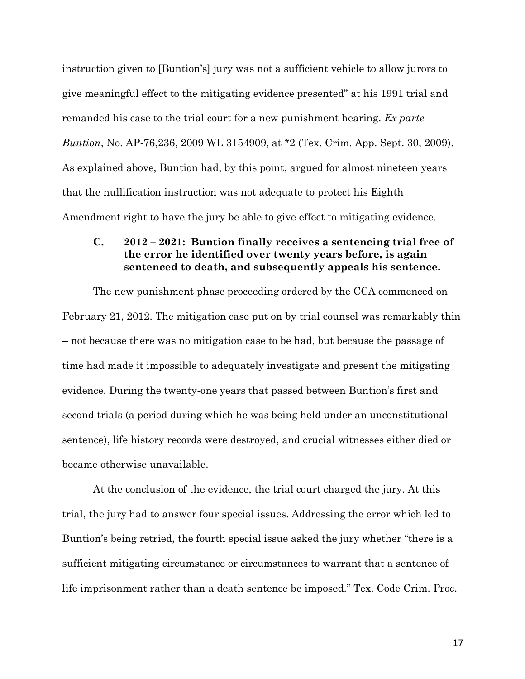instruction given to [Buntion's] jury was not a sufficient vehicle to allow jurors to give meaningful effect to the mitigating evidence presented" at his 1991 trial and remanded his case to the trial court for a new punishment hearing. *Ex parte Buntion*, No. AP-76,236, 2009 WL 3154909, at \*2 (Tex. Crim. App. Sept. 30, 2009). As explained above, Buntion had, by this point, argued for almost nineteen years that the nullification instruction was not adequate to protect his Eighth Amendment right to have the jury be able to give effect to mitigating evidence.

#### **C. 2012 – 2021: Buntion finally receives a sentencing trial free of the error he identified over twenty years before, is again sentenced to death, and subsequently appeals his sentence.**

The new punishment phase proceeding ordered by the CCA commenced on February 21, 2012. The mitigation case put on by trial counsel was remarkably thin – not because there was no mitigation case to be had, but because the passage of time had made it impossible to adequately investigate and present the mitigating evidence. During the twenty-one years that passed between Buntion's first and second trials (a period during which he was being held under an unconstitutional sentence), life history records were destroyed, and crucial witnesses either died or became otherwise unavailable.

At the conclusion of the evidence, the trial court charged the jury. At this trial, the jury had to answer four special issues. Addressing the error which led to Buntion's being retried, the fourth special issue asked the jury whether "there is a sufficient mitigating circumstance or circumstances to warrant that a sentence of life imprisonment rather than a death sentence be imposed." Tex. Code Crim. Proc.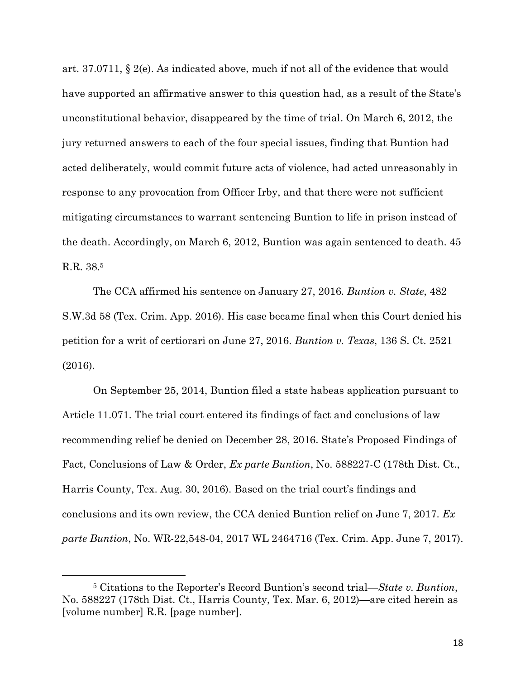art. 37.0711, § 2(e). As indicated above, much if not all of the evidence that would have supported an affirmative answer to this question had, as a result of the State's unconstitutional behavior, disappeared by the time of trial. On March 6, 2012, the jury returned answers to each of the four special issues, finding that Buntion had acted deliberately, would commit future acts of violence, had acted unreasonably in response to any provocation from Officer Irby, and that there were not sufficient mitigating circumstances to warrant sentencing Buntion to life in prison instead of the death. Accordingly, on March 6, 2012, Buntion was again sentenced to death. 45 R.R. 38.5

The CCA affirmed his sentence on January 27, 2016. *Buntion v. State*, 482 S.W.3d 58 (Tex. Crim. App. 2016). His case became final when this Court denied his petition for a writ of certiorari on June 27, 2016. *Buntion v. Texas*, 136 S. Ct. 2521 (2016).

On September 25, 2014, Buntion filed a state habeas application pursuant to Article 11.071. The trial court entered its findings of fact and conclusions of law recommending relief be denied on December 28, 2016. State's Proposed Findings of Fact, Conclusions of Law & Order, *Ex parte Buntion*, No. 588227-C (178th Dist. Ct., Harris County, Tex. Aug. 30, 2016). Based on the trial court's findings and conclusions and its own review, the CCA denied Buntion relief on June 7, 2017. *Ex parte Buntion*, No. WR-22,548-04, 2017 WL 2464716 (Tex. Crim. App. June 7, 2017).

 $\overline{a}$ 

<sup>5</sup> Citations to the Reporter's Record Buntion's second trial—*State v. Buntion*, No. 588227 (178th Dist. Ct., Harris County, Tex. Mar. 6, 2012)—are cited herein as [volume number] R.R. [page number].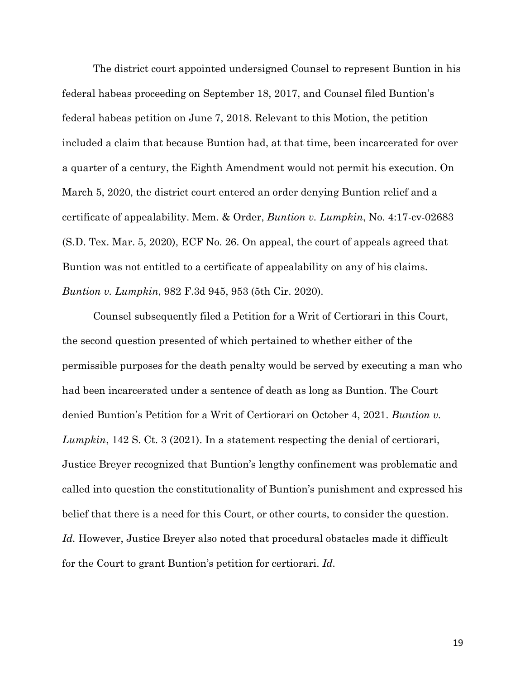The district court appointed undersigned Counsel to represent Buntion in his federal habeas proceeding on September 18, 2017, and Counsel filed Buntion's federal habeas petition on June 7, 2018. Relevant to this Motion, the petition included a claim that because Buntion had, at that time, been incarcerated for over a quarter of a century, the Eighth Amendment would not permit his execution. On March 5, 2020, the district court entered an order denying Buntion relief and a certificate of appealability. Mem. & Order, *Buntion v. Lumpkin*, No. 4:17-cv-02683 (S.D. Tex. Mar. 5, 2020), ECF No. 26. On appeal, the court of appeals agreed that Buntion was not entitled to a certificate of appealability on any of his claims. *Buntion v. Lumpkin*, 982 F.3d 945, 953 (5th Cir. 2020).

Counsel subsequently filed a Petition for a Writ of Certiorari in this Court, the second question presented of which pertained to whether either of the permissible purposes for the death penalty would be served by executing a man who had been incarcerated under a sentence of death as long as Buntion. The Court denied Buntion's Petition for a Writ of Certiorari on October 4, 2021. *Buntion v. Lumpkin*, 142 S. Ct. 3 (2021). In a statement respecting the denial of certiorari, Justice Breyer recognized that Buntion's lengthy confinement was problematic and called into question the constitutionality of Buntion's punishment and expressed his belief that there is a need for this Court, or other courts, to consider the question. *Id.* However, Justice Breyer also noted that procedural obstacles made it difficult for the Court to grant Buntion's petition for certiorari. *Id.*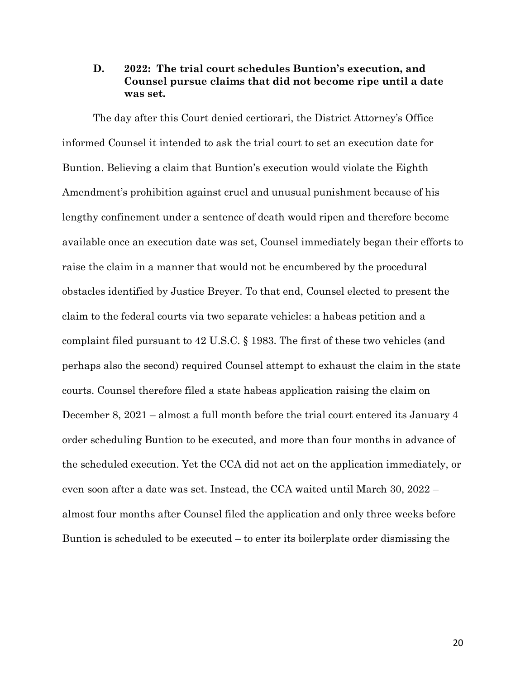## **D. 2022: The trial court schedules Buntion's execution, and Counsel pursue claims that did not become ripe until a date was set.**

The day after this Court denied certiorari, the District Attorney's Office informed Counsel it intended to ask the trial court to set an execution date for Buntion. Believing a claim that Buntion's execution would violate the Eighth Amendment's prohibition against cruel and unusual punishment because of his lengthy confinement under a sentence of death would ripen and therefore become available once an execution date was set, Counsel immediately began their efforts to raise the claim in a manner that would not be encumbered by the procedural obstacles identified by Justice Breyer. To that end, Counsel elected to present the claim to the federal courts via two separate vehicles: a habeas petition and a complaint filed pursuant to 42 U.S.C. § 1983. The first of these two vehicles (and perhaps also the second) required Counsel attempt to exhaust the claim in the state courts. Counsel therefore filed a state habeas application raising the claim on December 8, 2021 – almost a full month before the trial court entered its January 4 order scheduling Buntion to be executed, and more than four months in advance of the scheduled execution. Yet the CCA did not act on the application immediately, or even soon after a date was set. Instead, the CCA waited until March 30, 2022 – almost four months after Counsel filed the application and only three weeks before Buntion is scheduled to be executed – to enter its boilerplate order dismissing the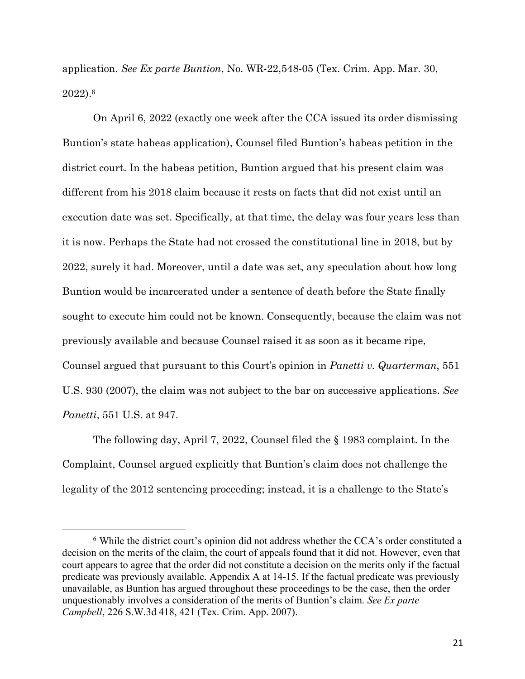application. *See Ex parte Buntion*, No. WR-22,548-05 (Tex. Crim. App. Mar. 30, 2022). 6

On April 6, 2022 (exactly one week after the CCA issued its order dismissing Buntion's state habeas application), Counsel filed Buntion's habeas petition in the district court. In the habeas petition, Buntion argued that his present claim was different from his 2018 claim because it rests on facts that did not exist until an execution date was set. Specifically, at that time, the delay was four years less than it is now. Perhaps the State had not crossed the constitutional line in 2018, but by 2022, surely it had. Moreover, until a date was set, any speculation about how long Buntion would be incarcerated under a sentence of death before the State finally sought to execute him could not be known. Consequently, because the claim was not previously available and because Counsel raised it as soon as it became ripe, Counsel argued that pursuant to this Court's opinion in *Panetti v. Quarterman*, 551 U.S. 930 (2007), the claim was not subject to the bar on successive applications. *See Panetti*, 551 U.S. at 947.

The following day, April 7, 2022, Counsel filed the § 1983 complaint. In the Complaint, Counsel argued explicitly that Buntion's claim does not challenge the legality of the 2012 sentencing proceeding; instead, it is a challenge to the State's

 $\overline{a}$ 

<sup>6</sup> While the district court's opinion did not address whether the CCA's order constituted a decision on the merits of the claim, the court of appeals found that it did not. However, even that court appears to agree that the order did not constitute a decision on the merits only if the factual predicate was previously available. Appendix A at 14-15. If the factual predicate was previously unavailable, as Buntion has argued throughout these proceedings to be the case, then the order unquestionably involves a consideration of the merits of Buntion's claim. *See Ex parte Campbell*, 226 S.W.3d 418, 421 (Tex. Crim. App. 2007).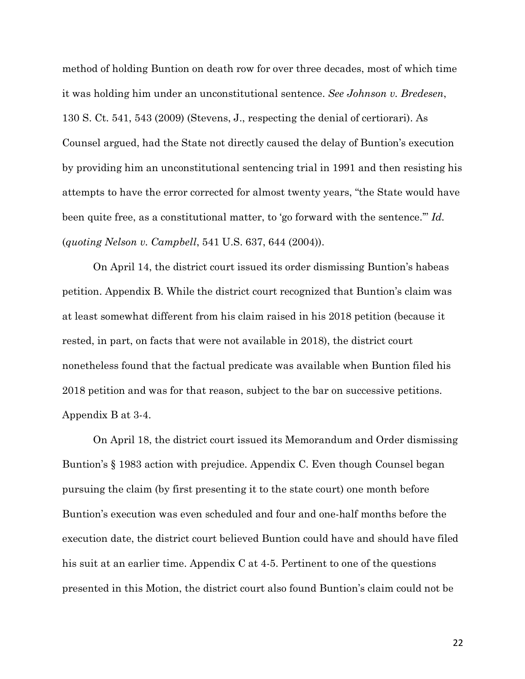method of holding Buntion on death row for over three decades, most of which time it was holding him under an unconstitutional sentence. *See Johnson v. Bredesen*, 130 S. Ct. 541, 543 (2009) (Stevens, J., respecting the denial of certiorari). As Counsel argued, had the State not directly caused the delay of Buntion's execution by providing him an unconstitutional sentencing trial in 1991 and then resisting his attempts to have the error corrected for almost twenty years, "the State would have been quite free, as a constitutional matter, to 'go forward with the sentence.'" *Id.*  (*quoting Nelson v. Campbell*, 541 U.S. 637, 644 (2004)).

On April 14, the district court issued its order dismissing Buntion's habeas petition. Appendix B. While the district court recognized that Buntion's claim was at least somewhat different from his claim raised in his 2018 petition (because it rested, in part, on facts that were not available in 2018), the district court nonetheless found that the factual predicate was available when Buntion filed his 2018 petition and was for that reason, subject to the bar on successive petitions. Appendix B at 3-4.

On April 18, the district court issued its Memorandum and Order dismissing Buntion's § 1983 action with prejudice. Appendix C. Even though Counsel began pursuing the claim (by first presenting it to the state court) one month before Buntion's execution was even scheduled and four and one-half months before the execution date, the district court believed Buntion could have and should have filed his suit at an earlier time. Appendix C at 4-5. Pertinent to one of the questions presented in this Motion, the district court also found Buntion's claim could not be

22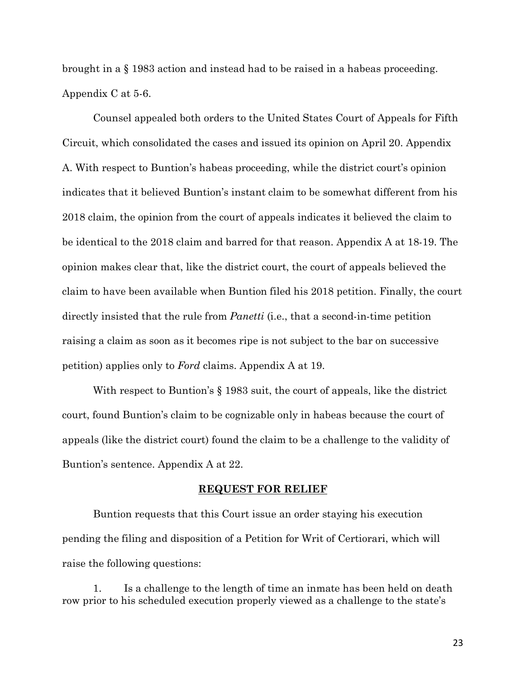brought in a § 1983 action and instead had to be raised in a habeas proceeding. Appendix C at 5-6.

Counsel appealed both orders to the United States Court of Appeals for Fifth Circuit, which consolidated the cases and issued its opinion on April 20. Appendix A. With respect to Buntion's habeas proceeding, while the district court's opinion indicates that it believed Buntion's instant claim to be somewhat different from his 2018 claim, the opinion from the court of appeals indicates it believed the claim to be identical to the 2018 claim and barred for that reason. Appendix A at 18-19. The opinion makes clear that, like the district court, the court of appeals believed the claim to have been available when Buntion filed his 2018 petition. Finally, the court directly insisted that the rule from *Panetti* (i.e., that a second-in-time petition raising a claim as soon as it becomes ripe is not subject to the bar on successive petition) applies only to *Ford* claims. Appendix A at 19.

With respect to Buntion's § 1983 suit, the court of appeals, like the district court, found Buntion's claim to be cognizable only in habeas because the court of appeals (like the district court) found the claim to be a challenge to the validity of Buntion's sentence. Appendix A at 22.

#### **REQUEST FOR RELIEF**

Buntion requests that this Court issue an order staying his execution pending the filing and disposition of a Petition for Writ of Certiorari, which will raise the following questions:

1. Is a challenge to the length of time an inmate has been held on death row prior to his scheduled execution properly viewed as a challenge to the state's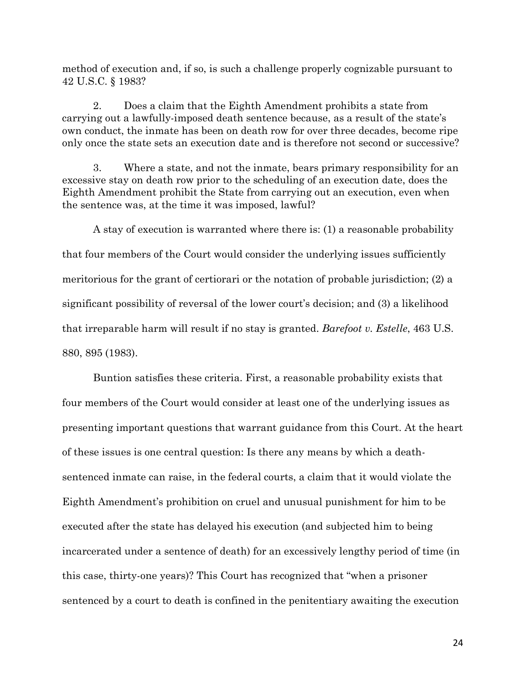method of execution and, if so, is such a challenge properly cognizable pursuant to 42 U.S.C. § 1983?

2. Does a claim that the Eighth Amendment prohibits a state from carrying out a lawfully-imposed death sentence because, as a result of the state's own conduct, the inmate has been on death row for over three decades, become ripe only once the state sets an execution date and is therefore not second or successive?

3. Where a state, and not the inmate, bears primary responsibility for an excessive stay on death row prior to the scheduling of an execution date, does the Eighth Amendment prohibit the State from carrying out an execution, even when the sentence was, at the time it was imposed, lawful?

A stay of execution is warranted where there is: (1) a reasonable probability that four members of the Court would consider the underlying issues sufficiently meritorious for the grant of certiorari or the notation of probable jurisdiction; (2) a significant possibility of reversal of the lower court's decision; and (3) a likelihood that irreparable harm will result if no stay is granted. *Barefoot v. Estelle*, 463 U.S. 880, 895 (1983).

Buntion satisfies these criteria. First, a reasonable probability exists that four members of the Court would consider at least one of the underlying issues as presenting important questions that warrant guidance from this Court. At the heart of these issues is one central question: Is there any means by which a deathsentenced inmate can raise, in the federal courts, a claim that it would violate the Eighth Amendment's prohibition on cruel and unusual punishment for him to be executed after the state has delayed his execution (and subjected him to being incarcerated under a sentence of death) for an excessively lengthy period of time (in this case, thirty-one years)? This Court has recognized that "when a prisoner sentenced by a court to death is confined in the penitentiary awaiting the execution

24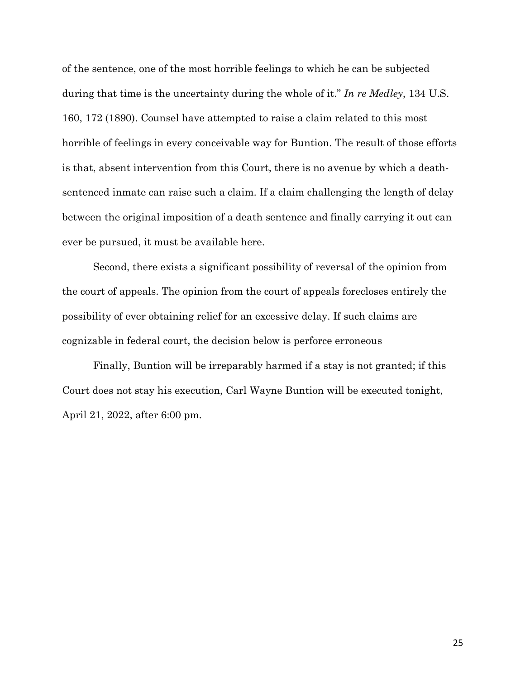of the sentence, one of the most horrible feelings to which he can be subjected during that time is the uncertainty during the whole of it." *In re Medley*, 134 U.S. 160, 172 (1890). Counsel have attempted to raise a claim related to this most horrible of feelings in every conceivable way for Buntion. The result of those efforts is that, absent intervention from this Court, there is no avenue by which a deathsentenced inmate can raise such a claim. If a claim challenging the length of delay between the original imposition of a death sentence and finally carrying it out can ever be pursued, it must be available here.

Second, there exists a significant possibility of reversal of the opinion from the court of appeals. The opinion from the court of appeals forecloses entirely the possibility of ever obtaining relief for an excessive delay. If such claims are cognizable in federal court, the decision below is perforce erroneous

Finally, Buntion will be irreparably harmed if a stay is not granted; if this Court does not stay his execution, Carl Wayne Buntion will be executed tonight, April 21, 2022, after 6:00 pm.